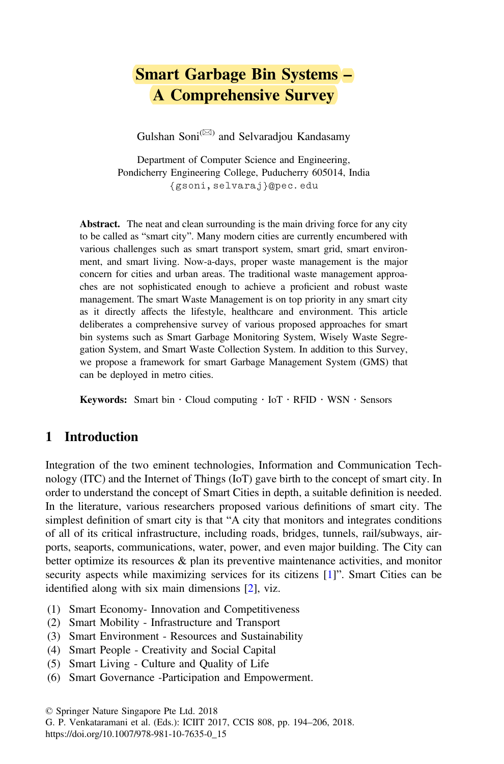# Smart Garbage Bin Systems – A Comprehensive Survey

Gulshan  $Soni^{(\boxtimes)}$  and Selvaradiou Kandasamy

Department of Computer Science and Engineering, Pondicherry Engineering College, Puducherry 605014, India {gsoni,selvaraj}@pec.edu

Abstract. The neat and clean surrounding is the main driving force for any city to be called as "smart city". Many modern cities are currently encumbered with various challenges such as smart transport system, smart grid, smart environment, and smart living. Now-a-days, proper waste management is the major concern for cities and urban areas. The traditional waste management approaches are not sophisticated enough to achieve a proficient and robust waste management. The smart Waste Management is on top priority in any smart city as it directly affects the lifestyle, healthcare and environment. This article deliberates a comprehensive survey of various proposed approaches for smart bin systems such as Smart Garbage Monitoring System, Wisely Waste Segregation System, and Smart Waste Collection System. In addition to this Survey, we propose a framework for smart Garbage Management System (GMS) that can be deployed in metro cities.

**Keywords:** Smart bin  $\cdot$  Cloud computing  $\cdot$  IoT  $\cdot$  RFID  $\cdot$  WSN  $\cdot$  Sensors

### 1 Introduction

Integration of the two eminent technologies, Information and Communication Technology (ITC) and the Internet of Things (IoT) gave birth to the concept of smart city. In order to understand the concept of Smart Cities in depth, a suitable definition is needed. In the literature, various researchers proposed various definitions of smart city. The simplest definition of smart city is that "A city that monitors and integrates conditions of all of its critical infrastructure, including roads, bridges, tunnels, rail/subways, airports, seaports, communications, water, power, and even major building. The City can better optimize its resources & plan its preventive maintenance activities, and monitor security aspects while maximizing services for its citizens [\[1](#page-11-0)]". Smart Cities can be identified along with six main dimensions [\[2](#page-11-0)], viz.

- (1) Smart Economy- Innovation and Competitiveness
- (2) Smart Mobility Infrastructure and Transport
- (3) Smart Environment Resources and Sustainability
- (4) Smart People Creativity and Social Capital
- (5) Smart Living Culture and Quality of Life
- (6) Smart Governance -Participation and Empowerment.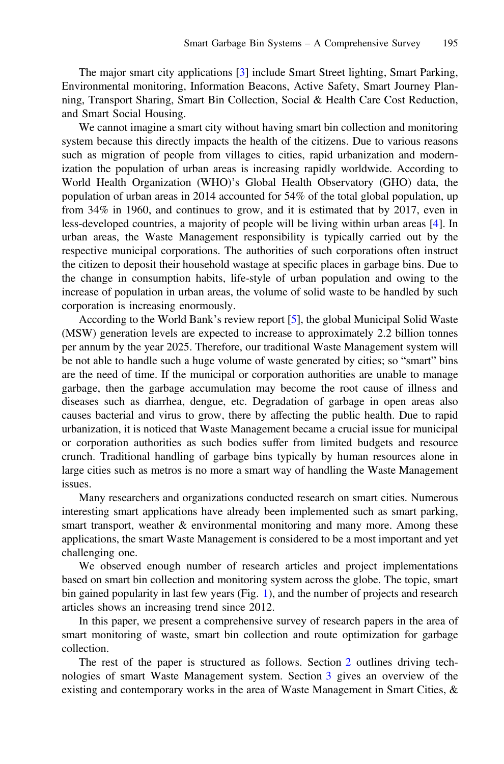The major smart city applications [[3\]](#page-11-0) include Smart Street lighting, Smart Parking, Environmental monitoring, Information Beacons, Active Safety, Smart Journey Planning, Transport Sharing, Smart Bin Collection, Social & Health Care Cost Reduction, and Smart Social Housing.

We cannot imagine a smart city without having smart bin collection and monitoring system because this directly impacts the health of the citizens. Due to various reasons such as migration of people from villages to cities, rapid urbanization and modernization the population of urban areas is increasing rapidly worldwide. According to World Health Organization (WHO)'s Global Health Observatory (GHO) data, the population of urban areas in 2014 accounted for 54% of the total global population, up from 34% in 1960, and continues to grow, and it is estimated that by 2017, even in less-developed countries, a majority of people will be living within urban areas [[4\]](#page-11-0). In urban areas, the Waste Management responsibility is typically carried out by the respective municipal corporations. The authorities of such corporations often instruct the citizen to deposit their household wastage at specific places in garbage bins. Due to the change in consumption habits, life-style of urban population and owing to the increase of population in urban areas, the volume of solid waste to be handled by such corporation is increasing enormously.

According to the World Bank's review report [[5\]](#page-11-0), the global Municipal Solid Waste (MSW) generation levels are expected to increase to approximately 2.2 billion tonnes per annum by the year 2025. Therefore, our traditional Waste Management system will be not able to handle such a huge volume of waste generated by cities; so "smart" bins are the need of time. If the municipal or corporation authorities are unable to manage garbage, then the garbage accumulation may become the root cause of illness and diseases such as diarrhea, dengue, etc. Degradation of garbage in open areas also causes bacterial and virus to grow, there by affecting the public health. Due to rapid urbanization, it is noticed that Waste Management became a crucial issue for municipal or corporation authorities as such bodies suffer from limited budgets and resource crunch. Traditional handling of garbage bins typically by human resources alone in large cities such as metros is no more a smart way of handling the Waste Management issues.

Many researchers and organizations conducted research on smart cities. Numerous interesting smart applications have already been implemented such as smart parking, smart transport, weather & environmental monitoring and many more. Among these applications, the smart Waste Management is considered to be a most important and yet challenging one.

We observed enough number of research articles and project implementations based on smart bin collection and monitoring system across the globe. The topic, smart bin gained popularity in last few years (Fig. [1](#page-2-0)), and the number of projects and research articles shows an increasing trend since 2012.

In this paper, we present a comprehensive survey of research papers in the area of smart monitoring of waste, smart bin collection and route optimization for garbage collection.

The rest of the paper is structured as follows. Section [2](#page-2-0) outlines driving technologies of smart Waste Management system. Section [3](#page-4-0) gives an overview of the existing and contemporary works in the area of Waste Management in Smart Cities, &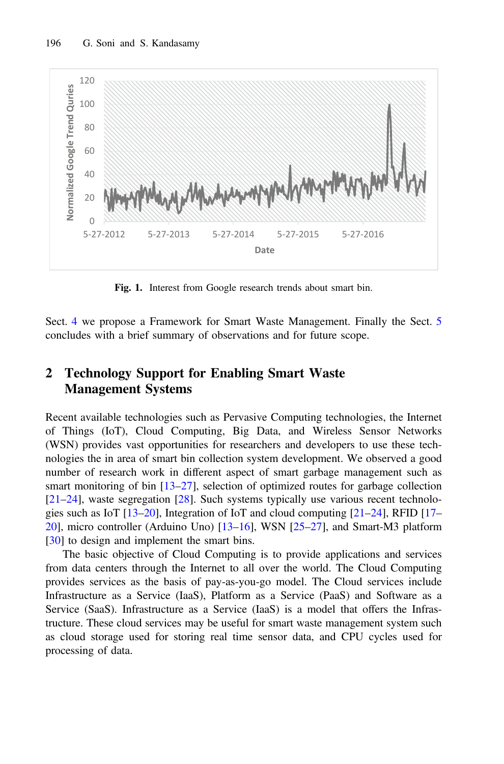<span id="page-2-0"></span>

Fig. 1. Interest from Google research trends about smart bin.

Sect. [4](#page-9-0) we propose a Framework for Smart Waste Management. Finally the Sect. [5](#page-10-0) concludes with a brief summary of observations and for future scope.

# 2 Technology Support for Enabling Smart Waste Management Systems

Recent available technologies such as Pervasive Computing technologies, the Internet of Things (IoT), Cloud Computing, Big Data, and Wireless Sensor Networks (WSN) provides vast opportunities for researchers and developers to use these technologies the in area of smart bin collection system development. We observed a good number of research work in different aspect of smart garbage management such as smart monitoring of bin [[13](#page-11-0)–[27\]](#page-12-0), selection of optimized routes for garbage collection [[21](#page-12-0)–[24\]](#page-12-0), waste segregation [[28](#page-12-0)]. Such systems typically use various recent technologies such as IoT [[13](#page-11-0)–[20\]](#page-12-0), Integration of IoT and cloud computing [[21](#page-12-0)–[24](#page-12-0)], RFID [[17](#page-11-0)– [20\]](#page-12-0), micro controller (Arduino Uno) [\[13](#page-11-0)–[16](#page-11-0)], WSN [[25](#page-12-0)–[27\]](#page-12-0), and Smart-M3 platform [[30\]](#page-12-0) to design and implement the smart bins.

The basic objective of Cloud Computing is to provide applications and services from data centers through the Internet to all over the world. The Cloud Computing provides services as the basis of pay-as-you-go model. The Cloud services include Infrastructure as a Service (IaaS), Platform as a Service (PaaS) and Software as a Service (SaaS). Infrastructure as a Service (IaaS) is a model that offers the Infrastructure. These cloud services may be useful for smart waste management system such as cloud storage used for storing real time sensor data, and CPU cycles used for processing of data.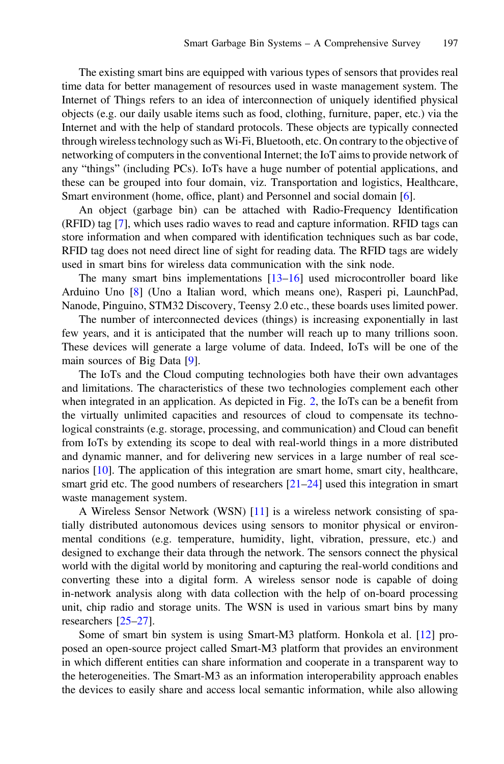The existing smart bins are equipped with various types of sensors that provides real time data for better management of resources used in waste management system. The Internet of Things refers to an idea of interconnection of uniquely identified physical objects (e.g. our daily usable items such as food, clothing, furniture, paper, etc.) via the Internet and with the help of standard protocols. These objects are typically connected through wireless technology such as Wi-Fi, Bluetooth, etc. On contrary to the objective of networking of computers in the conventional Internet; the IoT aims to provide network of any "things" (including PCs). IoTs have a huge number of potential applications, and these can be grouped into four domain, viz. Transportation and logistics, Healthcare, Smart environment (home, office, plant) and Personnel and social domain [[6\]](#page-11-0).

An object (garbage bin) can be attached with Radio-Frequency Identification (RFID) tag [\[7](#page-11-0)], which uses radio waves to read and capture information. RFID tags can store information and when compared with identification techniques such as bar code, RFID tag does not need direct line of sight for reading data. The RFID tags are widely used in smart bins for wireless data communication with the sink node.

The many smart bins implementations  $[13-16]$  $[13-16]$  $[13-16]$  $[13-16]$  used microcontroller board like Arduino Uno [\[8](#page-11-0)] (Uno a Italian word, which means one), Rasperi pi, LaunchPad, Nanode, Pinguino, STM32 Discovery, Teensy 2.0 etc., these boards uses limited power.

The number of interconnected devices (things) is increasing exponentially in last few years, and it is anticipated that the number will reach up to many trillions soon. These devices will generate a large volume of data. Indeed, IoTs will be one of the main sources of Big Data [\[9](#page-11-0)].

The IoTs and the Cloud computing technologies both have their own advantages and limitations. The characteristics of these two technologies complement each other when integrated in an application. As depicted in Fig. [2](#page-4-0), the IoTs can be a benefit from the virtually unlimited capacities and resources of cloud to compensate its technological constraints (e.g. storage, processing, and communication) and Cloud can benefit from IoTs by extending its scope to deal with real-world things in a more distributed and dynamic manner, and for delivering new services in a large number of real scenarios [\[10](#page-11-0)]. The application of this integration are smart home, smart city, healthcare, smart grid etc. The good numbers of researchers  $[21–24]$  $[21–24]$  $[21–24]$  $[21–24]$  used this integration in smart waste management system.

A Wireless Sensor Network (WSN) [\[11](#page-11-0)] is a wireless network consisting of spatially distributed autonomous devices using sensors to monitor physical or environmental conditions (e.g. temperature, humidity, light, vibration, pressure, etc.) and designed to exchange their data through the network. The sensors connect the physical world with the digital world by monitoring and capturing the real-world conditions and converting these into a digital form. A wireless sensor node is capable of doing in-network analysis along with data collection with the help of on-board processing unit, chip radio and storage units. The WSN is used in various smart bins by many researchers [[25](#page-12-0)–[27\]](#page-12-0).

Some of smart bin system is using Smart-M3 platform. Honkola et al. [\[12](#page-11-0)] proposed an open-source project called Smart-M3 platform that provides an environment in which different entities can share information and cooperate in a transparent way to the heterogeneities. The Smart-M3 as an information interoperability approach enables the devices to easily share and access local semantic information, while also allowing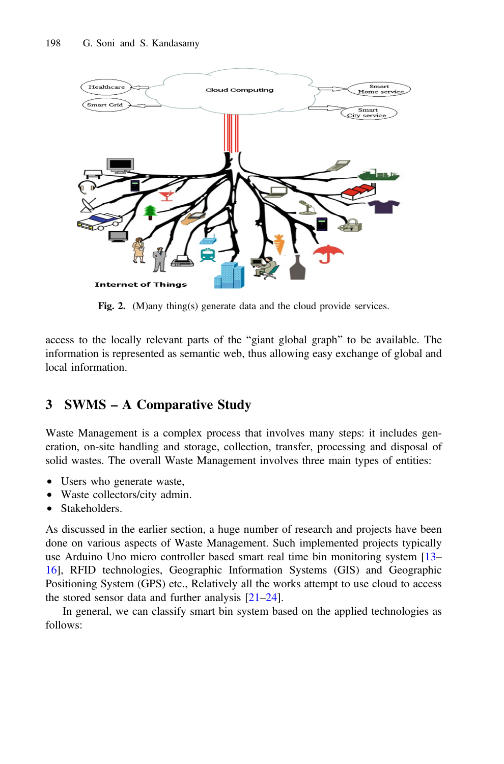<span id="page-4-0"></span>

Fig. 2. (M)any thing(s) generate data and the cloud provide services.

access to the locally relevant parts of the "giant global graph" to be available. The information is represented as semantic web, thus allowing easy exchange of global and local information.

# 3 SWMS – A Comparative Study

Waste Management is a complex process that involves many steps: it includes generation, on-site handling and storage, collection, transfer, processing and disposal of solid wastes. The overall Waste Management involves three main types of entities:

- Users who generate waste,
- Waste collectors/city admin.
- Stakeholders.

As discussed in the earlier section, a huge number of research and projects have been done on various aspects of Waste Management. Such implemented projects typically use Arduino Uno micro controller based smart real time bin monitoring system [[13](#page-11-0)– [16\]](#page-11-0), RFID technologies, Geographic Information Systems (GIS) and Geographic Positioning System (GPS) etc., Relatively all the works attempt to use cloud to access the stored sensor data and further analysis [[21](#page-12-0)–[24\]](#page-12-0).

In general, we can classify smart bin system based on the applied technologies as follows: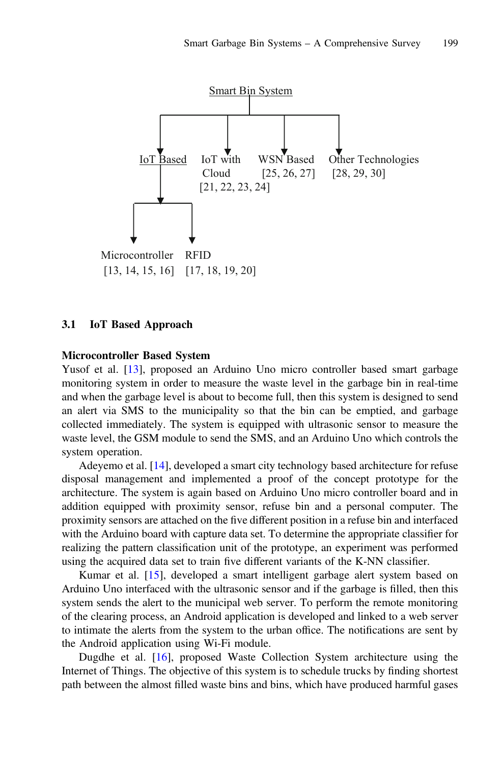

#### 3.1 IoT Based Approach

#### Microcontroller Based System

Yusof et al. [\[13](#page-11-0)], proposed an Arduino Uno micro controller based smart garbage monitoring system in order to measure the waste level in the garbage bin in real-time and when the garbage level is about to become full, then this system is designed to send an alert via SMS to the municipality so that the bin can be emptied, and garbage collected immediately. The system is equipped with ultrasonic sensor to measure the waste level, the GSM module to send the SMS, and an Arduino Uno which controls the system operation.

Adeyemo et al. [[14\]](#page-11-0), developed a smart city technology based architecture for refuse disposal management and implemented a proof of the concept prototype for the architecture. The system is again based on Arduino Uno micro controller board and in addition equipped with proximity sensor, refuse bin and a personal computer. The proximity sensors are attached on the five different position in a refuse bin and interfaced with the Arduino board with capture data set. To determine the appropriate classifier for realizing the pattern classification unit of the prototype, an experiment was performed using the acquired data set to train five different variants of the K-NN classifier.

Kumar et al. [\[15](#page-11-0)], developed a smart intelligent garbage alert system based on Arduino Uno interfaced with the ultrasonic sensor and if the garbage is filled, then this system sends the alert to the municipal web server. To perform the remote monitoring of the clearing process, an Android application is developed and linked to a web server to intimate the alerts from the system to the urban office. The notifications are sent by the Android application using Wi-Fi module.

Dugdhe et al. [[16\]](#page-11-0), proposed Waste Collection System architecture using the Internet of Things. The objective of this system is to schedule trucks by finding shortest path between the almost filled waste bins and bins, which have produced harmful gases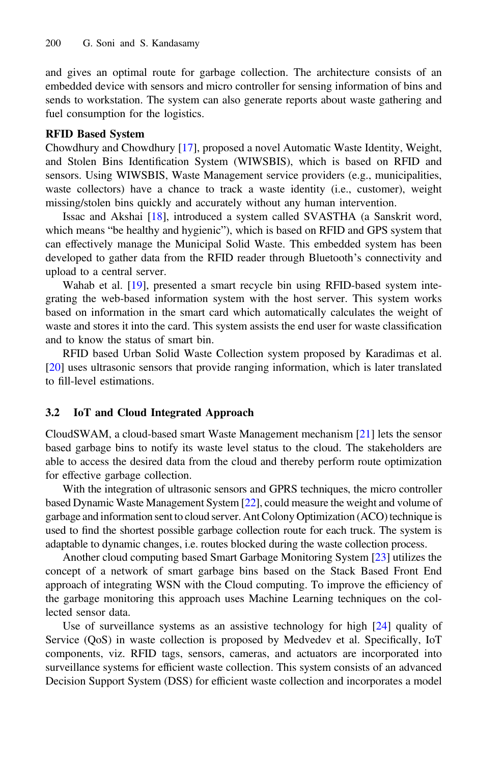and gives an optimal route for garbage collection. The architecture consists of an embedded device with sensors and micro controller for sensing information of bins and sends to workstation. The system can also generate reports about waste gathering and fuel consumption for the logistics.

#### RFID Based System

Chowdhury and Chowdhury [[17\]](#page-11-0), proposed a novel Automatic Waste Identity, Weight, and Stolen Bins Identification System (WIWSBIS), which is based on RFID and sensors. Using WIWSBIS, Waste Management service providers (e.g., municipalities, waste collectors) have a chance to track a waste identity (i.e., customer), weight missing/stolen bins quickly and accurately without any human intervention.

Issac and Akshai [[18\]](#page-12-0), introduced a system called SVASTHA (a Sanskrit word, which means "be healthy and hygienic"), which is based on RFID and GPS system that can effectively manage the Municipal Solid Waste. This embedded system has been developed to gather data from the RFID reader through Bluetooth's connectivity and upload to a central server.

Wahab et al. [\[19](#page-12-0)], presented a smart recycle bin using RFID-based system integrating the web-based information system with the host server. This system works based on information in the smart card which automatically calculates the weight of waste and stores it into the card. This system assists the end user for waste classification and to know the status of smart bin.

RFID based Urban Solid Waste Collection system proposed by Karadimas et al. [[20\]](#page-12-0) uses ultrasonic sensors that provide ranging information, which is later translated to fill-level estimations.

#### 3.2 IoT and Cloud Integrated Approach

CloudSWAM, a cloud-based smart Waste Management mechanism [[21\]](#page-12-0) lets the sensor based garbage bins to notify its waste level status to the cloud. The stakeholders are able to access the desired data from the cloud and thereby perform route optimization for effective garbage collection.

With the integration of ultrasonic sensors and GPRS techniques, the micro controller based Dynamic Waste Management System [[22](#page-12-0)], could measure the weight and volume of garbage and information sent to cloud server. Ant Colony Optimization (ACO) technique is used to find the shortest possible garbage collection route for each truck. The system is adaptable to dynamic changes, i.e. routes blocked during the waste collection process.

Another cloud computing based Smart Garbage Monitoring System [\[23](#page-12-0)] utilizes the concept of a network of smart garbage bins based on the Stack Based Front End approach of integrating WSN with the Cloud computing. To improve the efficiency of the garbage monitoring this approach uses Machine Learning techniques on the collected sensor data.

Use of surveillance systems as an assistive technology for high [[24\]](#page-12-0) quality of Service (QoS) in waste collection is proposed by Medvedev et al. Specifically, IoT components, viz. RFID tags, sensors, cameras, and actuators are incorporated into surveillance systems for efficient waste collection. This system consists of an advanced Decision Support System (DSS) for efficient waste collection and incorporates a model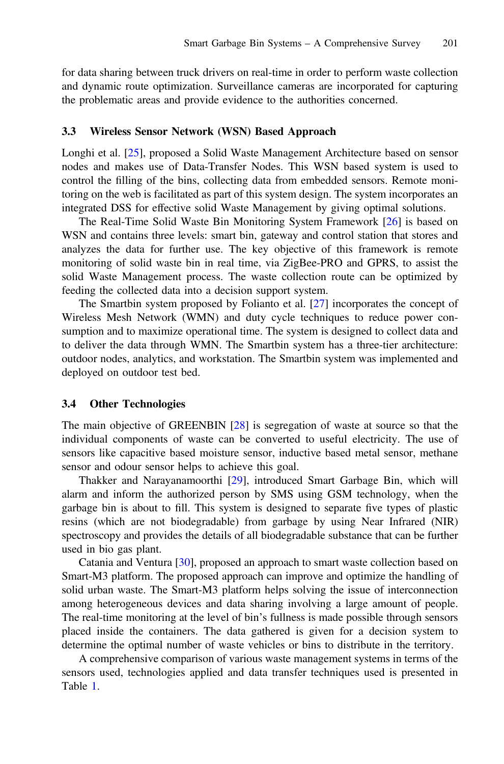for data sharing between truck drivers on real-time in order to perform waste collection and dynamic route optimization. Surveillance cameras are incorporated for capturing the problematic areas and provide evidence to the authorities concerned.

#### 3.3 Wireless Sensor Network (WSN) Based Approach

Longhi et al. [[25\]](#page-12-0), proposed a Solid Waste Management Architecture based on sensor nodes and makes use of Data-Transfer Nodes. This WSN based system is used to control the filling of the bins, collecting data from embedded sensors. Remote monitoring on the web is facilitated as part of this system design. The system incorporates an integrated DSS for effective solid Waste Management by giving optimal solutions.

The Real-Time Solid Waste Bin Monitoring System Framework [[26\]](#page-12-0) is based on WSN and contains three levels: smart bin, gateway and control station that stores and analyzes the data for further use. The key objective of this framework is remote monitoring of solid waste bin in real time, via ZigBee-PRO and GPRS, to assist the solid Waste Management process. The waste collection route can be optimized by feeding the collected data into a decision support system.

The Smartbin system proposed by Folianto et al. [\[27](#page-12-0)] incorporates the concept of Wireless Mesh Network (WMN) and duty cycle techniques to reduce power consumption and to maximize operational time. The system is designed to collect data and to deliver the data through WMN. The Smartbin system has a three-tier architecture: outdoor nodes, analytics, and workstation. The Smartbin system was implemented and deployed on outdoor test bed.

#### 3.4 Other Technologies

The main objective of GREENBIN [\[28](#page-12-0)] is segregation of waste at source so that the individual components of waste can be converted to useful electricity. The use of sensors like capacitive based moisture sensor, inductive based metal sensor, methane sensor and odour sensor helps to achieve this goal.

Thakker and Narayanamoorthi [[29\]](#page-12-0), introduced Smart Garbage Bin, which will alarm and inform the authorized person by SMS using GSM technology, when the garbage bin is about to fill. This system is designed to separate five types of plastic resins (which are not biodegradable) from garbage by using Near Infrared (NIR) spectroscopy and provides the details of all biodegradable substance that can be further used in bio gas plant.

Catania and Ventura [[30\]](#page-12-0), proposed an approach to smart waste collection based on Smart-M3 platform. The proposed approach can improve and optimize the handling of solid urban waste. The Smart-M3 platform helps solving the issue of interconnection among heterogeneous devices and data sharing involving a large amount of people. The real-time monitoring at the level of bin's fullness is made possible through sensors placed inside the containers. The data gathered is given for a decision system to determine the optimal number of waste vehicles or bins to distribute in the territory.

A comprehensive comparison of various waste management systems in terms of the sensors used, technologies applied and data transfer techniques used is presented in Table [1.](#page-8-0)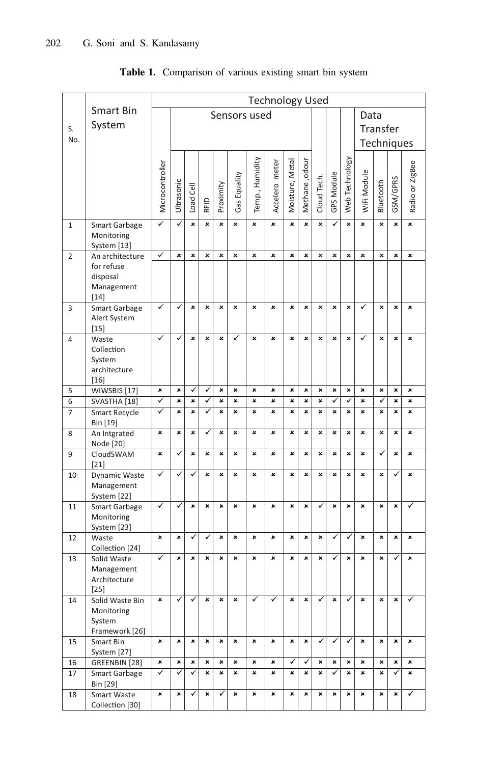<span id="page-8-0"></span>

|                |                                  | <b>Technology Used</b>  |                         |                         |                         |                           |                           |                           |                           |                           |                           |                           |                |                           |                           |                           |                         |                           |
|----------------|----------------------------------|-------------------------|-------------------------|-------------------------|-------------------------|---------------------------|---------------------------|---------------------------|---------------------------|---------------------------|---------------------------|---------------------------|----------------|---------------------------|---------------------------|---------------------------|-------------------------|---------------------------|
|                | <b>Smart Bin</b>                 |                         | Sensors used            |                         |                         |                           |                           |                           |                           |                           |                           |                           |                |                           | Data                      |                           |                         |                           |
| S.             | System                           |                         |                         |                         |                         |                           |                           |                           |                           |                           |                           |                           | Transfer       |                           |                           |                           |                         |                           |
| No.            |                                  |                         |                         |                         |                         |                           |                           |                           |                           |                           |                           |                           | Techniques     |                           |                           |                           |                         |                           |
|                |                                  |                         |                         |                         |                         |                           |                           |                           |                           |                           |                           |                           |                |                           |                           |                           |                         |                           |
|                |                                  |                         |                         |                         |                         |                           |                           | Temp., Humidity           |                           |                           | Methane, odour            |                           |                | Web Technology            |                           |                           |                         |                           |
|                |                                  | Microcontroller         |                         |                         |                         |                           |                           |                           | Accelero meter            | Moisture, Metal           |                           |                           | GPS Module     |                           | WiFi Module               |                           |                         | Radio or ZigBee           |
|                |                                  |                         |                         |                         |                         |                           |                           |                           |                           |                           |                           |                           |                |                           |                           |                           |                         |                           |
|                |                                  |                         | Ultrasonic              | Load Cell               | RFID                    | Proximity                 | Gas Equality              |                           |                           |                           |                           | Cloud Tech.               |                |                           |                           | Bluetooth                 | GSM/GPRS                |                           |
|                |                                  |                         |                         |                         |                         |                           |                           |                           |                           |                           |                           |                           |                |                           |                           |                           |                         |                           |
| $\mathbf{1}$   | Smart Garbage                    | ✓                       | $\overline{\checkmark}$ | $\overline{\mathbf{x}}$ | $\overline{\mathbf{x}}$ | $\overline{\mathbf{x}}$   | $\overline{\mathbf{x}}$   | $\overline{\mathbf{x}}$   | $\overline{\mathbf{x}}$   | $\overline{\mathbf{x}}$   | $\overline{\mathbf{x}}$   | $\overline{\mathbf{x}}$   | ✓              | $\overline{\mathbf{x}}$   | $\overline{\mathbf{x}}$   | $\overline{\mathbf{x}}$   | $\overline{\mathbf{x}}$ | $\overline{\mathbf{x}}$   |
|                | Monitoring<br>System [13]        |                         |                         |                         |                         |                           |                           |                           |                           |                           |                           |                           |                |                           |                           |                           |                         |                           |
| $\overline{2}$ | An architecture                  | ✓                       | $\pmb{\times}$          | ×                       | $\pmb{\times}$          | $\pmb{\times}$            | ×                         | $\pmb{\times}$            | $\pmb{\times}$            | $\pmb{\times}$            | $\pmb{\times}$            | $\pmb{\times}$            | $\pmb{\times}$ | ×                         | $\pmb{\times}$            | $\pmb{\times}$            | ×                       | $\pmb{\times}$            |
|                | for refuse                       |                         |                         |                         |                         |                           |                           |                           |                           |                           |                           |                           |                |                           |                           |                           |                         |                           |
|                | disposal                         |                         |                         |                         |                         |                           |                           |                           |                           |                           |                           |                           |                |                           |                           |                           |                         |                           |
|                | Management                       |                         |                         |                         |                         |                           |                           |                           |                           |                           |                           |                           |                |                           |                           |                           |                         |                           |
| 3              | $[14]$<br>Smart Garbage          | ✓                       | ✓                       | ×                       | ×                       | ×                         | $\boldsymbol{\mathsf{x}}$ | $\pmb{\times}$            | ×                         | $\pmb{\times}$            | $\boldsymbol{\mathsf{x}}$ | $\boldsymbol{\mathsf{x}}$ | $\pmb{\times}$ | $\boldsymbol{\mathsf{x}}$ | ✓                         | ×                         | ×                       | $\pmb{\times}$            |
|                | Alert System                     |                         |                         |                         |                         |                           |                           |                           |                           |                           |                           |                           |                |                           |                           |                           |                         |                           |
|                | $[15]$                           |                         |                         |                         |                         |                           |                           |                           |                           |                           |                           |                           |                |                           |                           |                           |                         |                           |
| 4              | Waste                            | $\checkmark$            | ✓                       | $\pmb{\times}$          | ×                       | $\pmb{\times}$            | ✓                         | $\boldsymbol{\mathsf{x}}$ | $\pmb{\times}$            | $\mathbf{x}$              | ×                         | ×                         | ×              | ×                         | ✓                         | $\pmb{\times}$            | ×                       | $\pmb{\times}$            |
|                | Collection<br>System             |                         |                         |                         |                         |                           |                           |                           |                           |                           |                           |                           |                |                           |                           |                           |                         |                           |
|                | architecture                     |                         |                         |                         |                         |                           |                           |                           |                           |                           |                           |                           |                |                           |                           |                           |                         |                           |
|                | $[16]$                           |                         |                         |                         |                         |                           |                           |                           |                           |                           |                           |                           |                |                           |                           |                           |                         |                           |
| 5              | WIWSBIS [17]                     | $\pmb{\times}$          | ×                       | ✓                       | ✓                       | $\pmb{\times}$            | $\pmb{\times}$            | $\pmb{\times}$            | $\pmb{\times}$            | $\pmb{\times}$            | $\pmb{\times}$            | $\pmb{\times}$            | $\pmb{\times}$ | ×                         | $\pmb{\times}$            | ×                         | ×                       | $\pmb{\times}$            |
| 6              | SVASTHA [18]                     | $\checkmark$            | $\overline{\mathbf{x}}$ | ×                       | ✓                       | $\pmb{\times}$            | $\pmb{\times}$            | ×                         | $\boldsymbol{\mathsf{x}}$ | $\pmb{\times}$            | $\pmb{\times}$            | ×                         | ✓              | ✓                         | ×                         | ✓                         | ×                       | ×                         |
| $\overline{7}$ | <b>Smart Recycle</b><br>Bin [19] | ✓                       | $\pmb{\times}$          | ×                       | ✓                       | ×                         | $\pmb{\times}$            | ×                         | $\boldsymbol{\mathsf{x}}$ | $\pmb{\times}$            | $\boldsymbol{\mathsf{x}}$ | $\boldsymbol{\mathsf{x}}$ | $\pmb{\times}$ | ×                         | ×                         | $\pmb{\times}$            | ×                       | ×                         |
| 8              | An Intgrated<br>Node [20]        | $\pmb{\times}$          | $\mathbf{x}$            | ×                       | ✓                       | $\mathbf{x}$              | $\boldsymbol{\mathsf{x}}$ | $\pmb{\times}$            | $\mathbf{x}$              | $\mathbf{x}$              | $\boldsymbol{\mathsf{x}}$ | $\boldsymbol{\mathsf{x}}$ | $\pmb{\times}$ | ×                         | $\mathbf{x}$              | $\boldsymbol{\mathsf{x}}$ | ×                       | $\boldsymbol{\mathsf{x}}$ |
| 9              | CloudSWAM<br>$[21]$              | $\pmb{\times}$          | ✓                       | ×                       | ×                       | $\mathbf{x}$              | $\boldsymbol{\mathsf{x}}$ | $\boldsymbol{\mathsf{x}}$ | $\mathbf{x}$              | $\mathbf{x}$              | $\boldsymbol{\mathsf{x}}$ | $\mathbf x$               | ×              | ×                         | $\mathbf{x}$              | ✓                         | ×                       | $\mathbf{x}$              |
| 10             | Dynamic Waste                    | ✓                       | ✓                       | ✓                       | ×                       | ×                         | $\boldsymbol{\mathsf{x}}$ | $\pmb{\times}$            | $\boldsymbol{\mathsf{x}}$ | $\boldsymbol{\mathsf{x}}$ | ×                         | ×                         | $\pmb{\times}$ | ×                         | $\boldsymbol{\mathsf{x}}$ | $\boldsymbol{\mathsf{x}}$ | ✓                       | $\pmb{\times}$            |
|                | Management                       |                         |                         |                         |                         |                           |                           |                           |                           |                           |                           |                           |                |                           |                           |                           |                         |                           |
|                | System [22]                      | ✓                       | ✓                       | ×                       | $\pmb{\times}$          | $\pmb{\times}$            | $\boldsymbol{\mathsf{x}}$ | $\pmb{\times}$            | $\mathbf{x}$              | $\boldsymbol{\mathsf{x}}$ | ×                         | $\checkmark$              | $\pmb{\times}$ | ×                         | $\pmb{\times}$            | $\mathbf{x}$              | ×                       | ✓                         |
| 11             | Smart Garbage<br>Monitoring      |                         |                         |                         |                         |                           |                           |                           |                           |                           |                           |                           |                |                           |                           |                           |                         |                           |
|                | System [23]                      |                         |                         |                         |                         |                           |                           |                           |                           |                           |                           |                           |                |                           |                           |                           |                         |                           |
| 12             | Waste<br>Collection [24]         | $\overline{\mathbf{x}}$ | $\pmb{\times}$          | ✓                       | ✓                       | $\boldsymbol{\mathsf{x}}$ | $\boldsymbol{\mathsf{x}}$ | $\pmb{\times}$            | $\boldsymbol{\mathsf{x}}$ | $\pmb{\times}$            | ×                         | $\mathbf x$               | ✓              | ✓                         | $\pmb{\times}$            | ×                         | ×                       | $\pmb{\times}$            |
| 13             | Solid Waste                      | $\checkmark$            | $\pmb{\times}$          | ×                       | ×                       | $\mathbf{x}$              | $\pmb{\times}$            | $\pmb{\times}$            | $\boldsymbol{\mathsf{x}}$ | $\mathbf{x}$              | $\boldsymbol{\mathsf{x}}$ | ×                         | ✓              | ×                         | $\mathbf{x}$              | ×                         | ✓                       | $\pmb{\times}$            |
|                | Management                       |                         |                         |                         |                         |                           |                           |                           |                           |                           |                           |                           |                |                           |                           |                           |                         |                           |
|                | Architecture                     |                         |                         |                         |                         |                           |                           |                           |                           |                           |                           |                           |                |                           |                           |                           |                         |                           |
| 14             | $[25]$<br>Solid Waste Bin        | $\pmb{\times}$          | ✓                       | ✓                       | ×                       | ×                         | ×                         | ✓                         | ✓                         | ×                         | ×                         | ✓                         | ×              | ✓                         | ×                         | ×                         | ×                       | ✓                         |
|                | Monitoring                       |                         |                         |                         |                         |                           |                           |                           |                           |                           |                           |                           |                |                           |                           |                           |                         |                           |
|                | System                           |                         |                         |                         |                         |                           |                           |                           |                           |                           |                           |                           |                |                           |                           |                           |                         |                           |
|                | Framework [26]                   |                         |                         |                         |                         |                           |                           |                           |                           |                           |                           |                           |                |                           |                           |                           |                         |                           |
| 15             | Smart Bin<br>System [27]         | $\pmb{\times}$          | ×                       | ×                       | ×                       | ×                         | ×                         | $\pmb{\times}$            | ×                         | $\pmb{\times}$            | $\pmb{\times}$            | ✓                         | ✓              | ✓                         | $\pmb{\times}$            | ×                         | ×                       | ×                         |
| 16             | GREENBIN [28]                    | ×                       | ×                       | ×                       | ×                       | ×                         | ×                         | ×                         | ×                         | ✓                         | ✓                         | ×                         | ×              | ×                         | ×                         | ×                         | ×                       | ×                         |
| 17             | Smart Garbage<br>Bin [29]        | ✓                       | ✓                       | ✓                       | ×                       | ×                         | $\pmb{\times}$            | ×                         | ×                         | $\pmb{\times}$            | ×                         | ×                         | $\checkmark$   | ×                         | $\pmb{\times}$            | ×                         | ✓                       | ×                         |
| 18             | Smart Waste                      | $\pmb{\times}$          | ×                       | ✓                       | $\pmb{\times}$          | ✓                         | ×                         | $\pmb{\times}$            | ×                         | $\pmb{\times}$            | ×                         | ×                         | $\pmb{\times}$ | ×                         | $\pmb{\times}$            | ×                         | ×                       | $\checkmark$              |
|                | Collection [30]                  |                         |                         |                         |                         |                           |                           |                           |                           |                           |                           |                           |                |                           |                           |                           |                         |                           |

### Table 1. Comparison of various existing smart bin system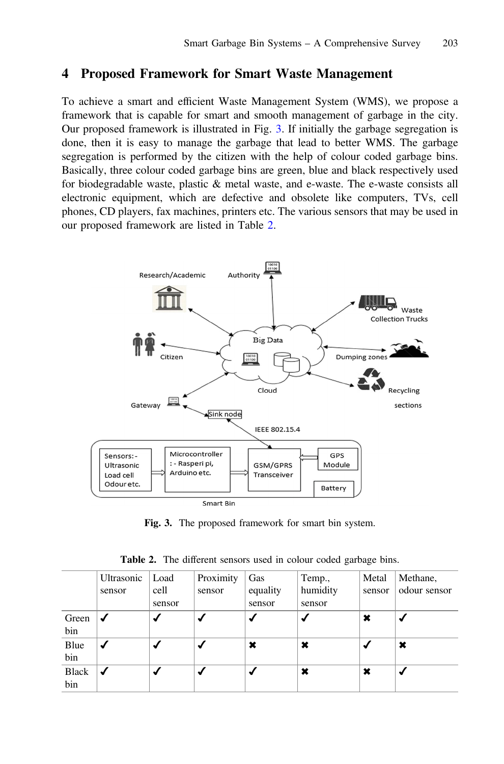# <span id="page-9-0"></span>4 Proposed Framework for Smart Waste Management

To achieve a smart and efficient Waste Management System (WMS), we propose a framework that is capable for smart and smooth management of garbage in the city. Our proposed framework is illustrated in Fig. 3. If initially the garbage segregation is done, then it is easy to manage the garbage that lead to better WMS. The garbage segregation is performed by the citizen with the help of colour coded garbage bins. Basically, three colour coded garbage bins are green, blue and black respectively used for biodegradable waste, plastic & metal waste, and e-waste. The e-waste consists all electronic equipment, which are defective and obsolete like computers, TVs, cell phones, CD players, fax machines, printers etc. The various sensors that may be used in our proposed framework are listed in Table 2.



Fig. 3. The proposed framework for smart bin system.

|                     | Ultrasonic<br>sensor | Load<br>cell<br>sensor | Proximity<br>sensor | Gas<br>equality<br>sensor | Temp.,<br>humidity<br>sensor | Metal<br>sensor | Methane,<br>odour sensor |
|---------------------|----------------------|------------------------|---------------------|---------------------------|------------------------------|-----------------|--------------------------|
| Green<br>bin        |                      |                        |                     |                           |                              | ×               |                          |
| Blue<br>bin         |                      |                        |                     | ×                         | ×                            |                 | ×                        |
| <b>Black</b><br>bin |                      |                        |                     |                           | ×                            | ×               |                          |

Table 2. The different sensors used in colour coded garbage bins.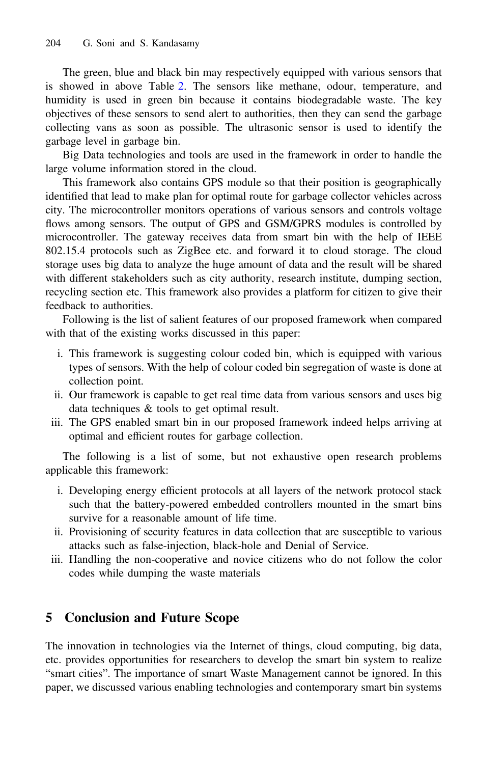<span id="page-10-0"></span>The green, blue and black bin may respectively equipped with various sensors that is showed in above Table [2](#page-9-0). The sensors like methane, odour, temperature, and humidity is used in green bin because it contains biodegradable waste. The key objectives of these sensors to send alert to authorities, then they can send the garbage collecting vans as soon as possible. The ultrasonic sensor is used to identify the garbage level in garbage bin.

Big Data technologies and tools are used in the framework in order to handle the large volume information stored in the cloud.

This framework also contains GPS module so that their position is geographically identified that lead to make plan for optimal route for garbage collector vehicles across city. The microcontroller monitors operations of various sensors and controls voltage flows among sensors. The output of GPS and GSM/GPRS modules is controlled by microcontroller. The gateway receives data from smart bin with the help of IEEE 802.15.4 protocols such as ZigBee etc. and forward it to cloud storage. The cloud storage uses big data to analyze the huge amount of data and the result will be shared with different stakeholders such as city authority, research institute, dumping section, recycling section etc. This framework also provides a platform for citizen to give their feedback to authorities.

Following is the list of salient features of our proposed framework when compared with that of the existing works discussed in this paper:

- i. This framework is suggesting colour coded bin, which is equipped with various types of sensors. With the help of colour coded bin segregation of waste is done at collection point.
- ii. Our framework is capable to get real time data from various sensors and uses big data techniques & tools to get optimal result.
- iii. The GPS enabled smart bin in our proposed framework indeed helps arriving at optimal and efficient routes for garbage collection.

The following is a list of some, but not exhaustive open research problems applicable this framework:

- i. Developing energy efficient protocols at all layers of the network protocol stack such that the battery-powered embedded controllers mounted in the smart bins survive for a reasonable amount of life time.
- ii. Provisioning of security features in data collection that are susceptible to various attacks such as false-injection, black-hole and Denial of Service.
- iii. Handling the non-cooperative and novice citizens who do not follow the color codes while dumping the waste materials

# 5 Conclusion and Future Scope

The innovation in technologies via the Internet of things, cloud computing, big data, etc. provides opportunities for researchers to develop the smart bin system to realize "smart cities". The importance of smart Waste Management cannot be ignored. In this paper, we discussed various enabling technologies and contemporary smart bin systems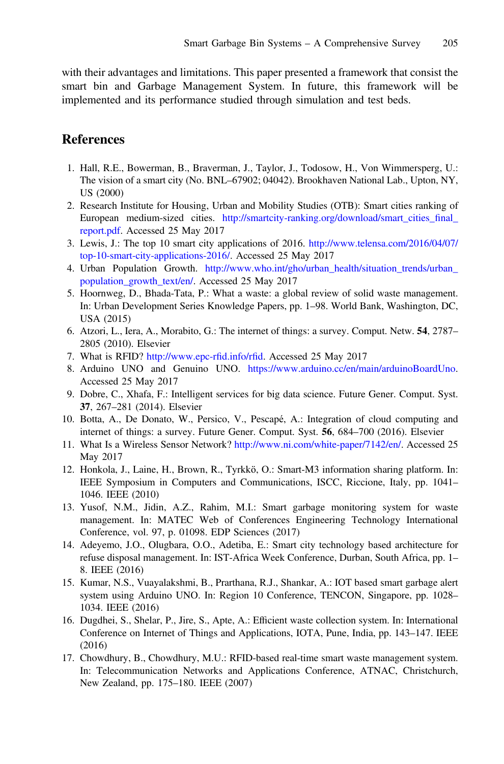<span id="page-11-0"></span>with their advantages and limitations. This paper presented a framework that consist the smart bin and Garbage Management System. In future, this framework will be implemented and its performance studied through simulation and test beds.

### References

- 1. Hall, R.E., Bowerman, B., Braverman, J., Taylor, J., Todosow, H., Von Wimmersperg, U.: The vision of a smart city (No. BNL–67902; 04042). Brookhaven National Lab., Upton, NY, US (2000)
- 2. Research Institute for Housing, Urban and Mobility Studies (OTB): Smart cities ranking of European medium-sized cities. [http://smartcity-ranking.org/download/smart\\_cities\\_](http://smartcity-ranking.org/download/smart_cities_final_report.pdf)final\_ [report.pdf.](http://smartcity-ranking.org/download/smart_cities_final_report.pdf) Accessed 25 May 2017
- 3. Lewis, J.: The top 10 smart city applications of 2016. [http://www.telensa.com/2016/04/07/](http://www.telensa.com/2016/04/07/top-10-smart-city-applications-2016/) [top-10-smart-city-applications-2016/.](http://www.telensa.com/2016/04/07/top-10-smart-city-applications-2016/) Accessed 25 May 2017
- 4. Urban Population Growth. [http://www.who.int/gho/urban\\_health/situation\\_trends/urban\\_](http://www.who.int/gho/urban_health/situation_trends/urban_population_growth_text/en/) [population\\_growth\\_text/en/.](http://www.who.int/gho/urban_health/situation_trends/urban_population_growth_text/en/) Accessed 25 May 2017
- 5. Hoornweg, D., Bhada-Tata, P.: What a waste: a global review of solid waste management. In: Urban Development Series Knowledge Papers, pp. 1–98. World Bank, Washington, DC, USA (2015)
- 6. Atzori, L., Iera, A., Morabito, G.: The internet of things: a survey. Comput. Netw. 54, 2787– 2805 (2010). Elsevier
- 7. What is RFID? [http://www.epc-r](http://www.epc-rfid.info/rfid)fid.info/rfid. Accessed 25 May 2017
- 8. Arduino UNO and Genuino UNO. <https://www.arduino.cc/en/main/arduinoBoardUno>. Accessed 25 May 2017
- 9. Dobre, C., Xhafa, F.: Intelligent services for big data science. Future Gener. Comput. Syst. 37, 267–281 (2014). Elsevier
- 10. Botta, A., De Donato, W., Persico, V., Pescapé, A.: Integration of cloud computing and internet of things: a survey. Future Gener. Comput. Syst. 56, 684–700 (2016). Elsevier
- 11. What Is a Wireless Sensor Network? [http://www.ni.com/white-paper/7142/en/.](http://www.ni.com/white-paper/7142/en/) Accessed 25 May 2017
- 12. Honkola, J., Laine, H., Brown, R., Tyrkkö, O.: Smart-M3 information sharing platform. In: IEEE Symposium in Computers and Communications, ISCC, Riccione, Italy, pp. 1041– 1046. IEEE (2010)
- 13. Yusof, N.M., Jidin, A.Z., Rahim, M.I.: Smart garbage monitoring system for waste management. In: MATEC Web of Conferences Engineering Technology International Conference, vol. 97, p. 01098. EDP Sciences (2017)
- 14. Adeyemo, J.O., Olugbara, O.O., Adetiba, E.: Smart city technology based architecture for refuse disposal management. In: IST-Africa Week Conference, Durban, South Africa, pp. 1– 8. IEEE (2016)
- 15. Kumar, N.S., Vuayalakshmi, B., Prarthana, R.J., Shankar, A.: IOT based smart garbage alert system using Arduino UNO. In: Region 10 Conference, TENCON, Singapore, pp. 1028– 1034. IEEE (2016)
- 16. Dugdhei, S., Shelar, P., Jire, S., Apte, A.: Efficient waste collection system. In: International Conference on Internet of Things and Applications, IOTA, Pune, India, pp. 143–147. IEEE (2016)
- 17. Chowdhury, B., Chowdhury, M.U.: RFID-based real-time smart waste management system. In: Telecommunication Networks and Applications Conference, ATNAC, Christchurch, New Zealand, pp. 175–180. IEEE (2007)